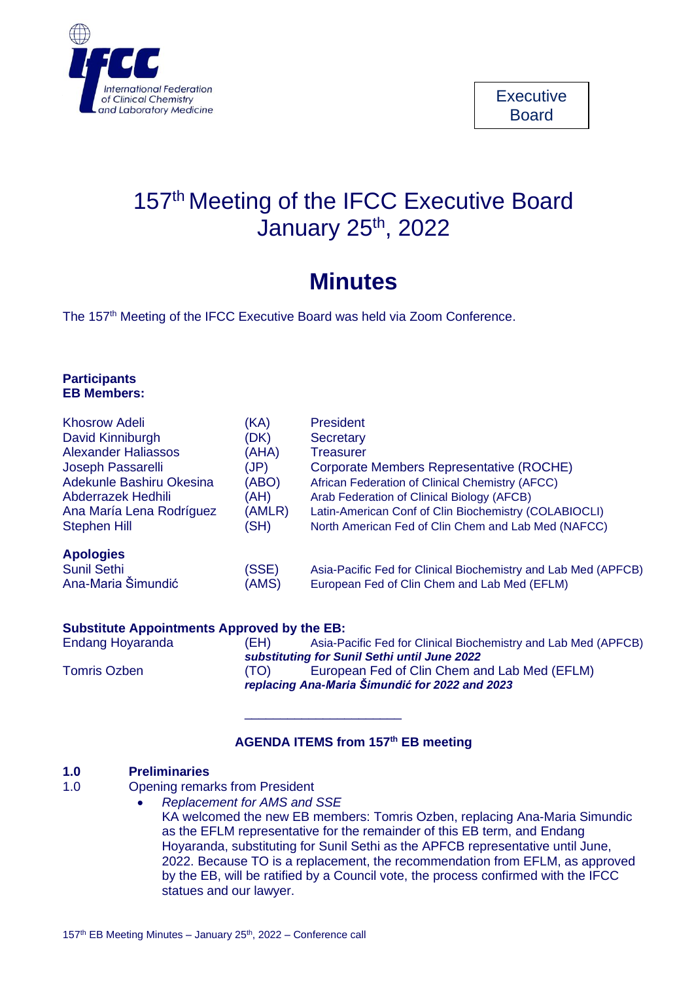

# 157<sup>th</sup> Meeting of the IFCC Executive Board January 25<sup>th</sup>, 2022

# **Minutes**

The 157<sup>th</sup> Meeting of the IFCC Executive Board was held via Zoom Conference.

| <b>Participants</b> |  |
|---------------------|--|
| <b>EB Members:</b>  |  |

| <b>Khosrow Adeli</b>       | (KA)   | <b>President</b>                                               |
|----------------------------|--------|----------------------------------------------------------------|
| David Kinniburgh           | (DK)   | <b>Secretary</b>                                               |
| <b>Alexander Haliassos</b> | (AHA)  | <b>Treasurer</b>                                               |
| Joseph Passarelli          | (JP)   | Corporate Members Representative (ROCHE)                       |
| Adekunle Bashiru Okesina   | (ABO)  | African Federation of Clinical Chemistry (AFCC)                |
| Abderrazek Hedhili         | (AH)   | Arab Federation of Clinical Biology (AFCB)                     |
| Ana María Lena Rodríguez   | (AMLR) | Latin-American Conf of Clin Biochemistry (COLABIOCLI)          |
| <b>Stephen Hill</b>        | (SH)   | North American Fed of Clin Chem and Lab Med (NAFCC)            |
| <b>Apologies</b>           |        |                                                                |
| <b>Sunil Sethi</b>         | (SSE)  | Asia-Pacific Fed for Clinical Biochemistry and Lab Med (APFCB) |
| Ana-Maria Šimundić         | (AMS)  | European Fed of Clin Chem and Lab Med (EFLM)                   |
|                            |        |                                                                |

#### **Substitute Appointments Approved by the EB:**

Endang Hoyaranda (EH) Asia-Pacific Fed for Clinical Biochemistry and Lab Med (APFCB) *substituting for Sunil Sethi until June 2022* Tomris Ozben (TO) European Fed of Clin Chem and Lab Med (EFLM) *replacing Ana-Maria Šimundić for 2022 and 2023*

#### **AGENDA ITEMS from 157 th EB meeting**

\_\_\_\_\_\_\_\_\_\_\_\_\_\_\_\_\_\_\_\_\_\_

#### **1.0 Preliminaries**

- 1.0 Opening remarks from President
	- *Replacement for AMS and SSE*

KA welcomed the new EB members: Tomris Ozben, replacing Ana-Maria Simundic as the EFLM representative for the remainder of this EB term, and Endang Hoyaranda, substituting for Sunil Sethi as the APFCB representative until June, 2022. Because TO is a replacement, the recommendation from EFLM, as approved by the EB, will be ratified by a Council vote, the process confirmed with the IFCC statues and our lawyer.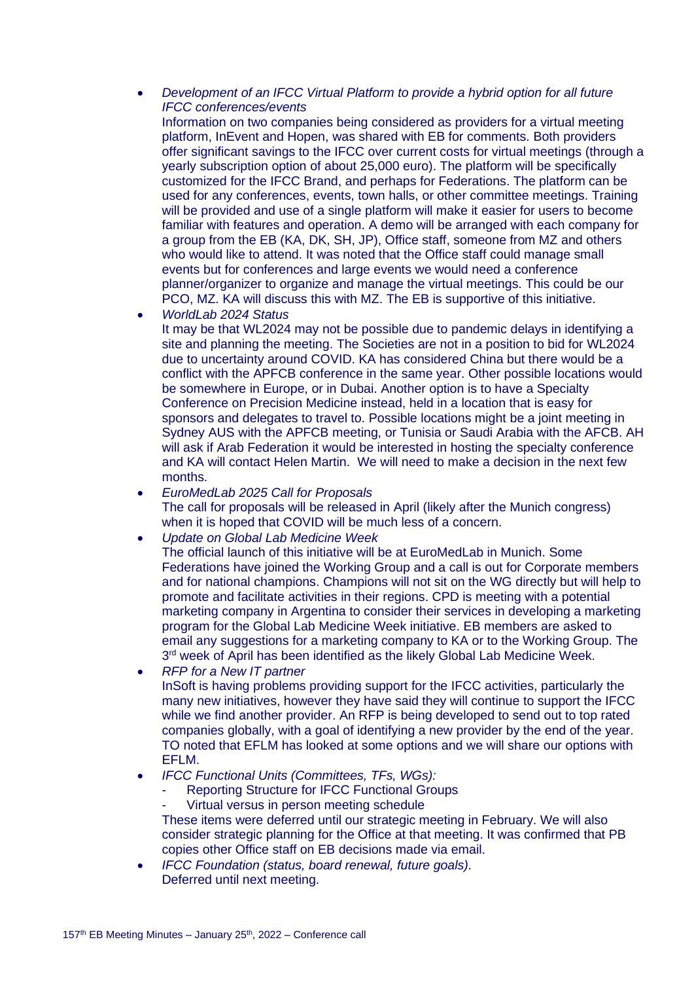#### • *Development of an IFCC Virtual Platform to provide a hybrid option for all future IFCC conferences/events*

Information on two companies being considered as providers for a virtual meeting platform, InEvent and Hopen, was shared with EB for comments. Both providers offer significant savings to the IFCC over current costs for virtual meetings (through a yearly subscription option of about 25,000 euro). The platform will be specifically customized for the IFCC Brand, and perhaps for Federations. The platform can be used for any conferences, events, town halls, or other committee meetings. Training will be provided and use of a single platform will make it easier for users to become familiar with features and operation. A demo will be arranged with each company for a group from the EB (KA, DK, SH, JP), Office staff, someone from MZ and others who would like to attend. It was noted that the Office staff could manage small events but for conferences and large events we would need a conference planner/organizer to organize and manage the virtual meetings. This could be our PCO, MZ. KA will discuss this with MZ. The EB is supportive of this initiative.

• *WorldLab 2024 Status*

It may be that WL2024 may not be possible due to pandemic delays in identifying a site and planning the meeting. The Societies are not in a position to bid for WL2024 due to uncertainty around COVID. KA has considered China but there would be a conflict with the APFCB conference in the same year. Other possible locations would be somewhere in Europe, or in Dubai. Another option is to have a Specialty Conference on Precision Medicine instead, held in a location that is easy for sponsors and delegates to travel to. Possible locations might be a joint meeting in Sydney AUS with the APFCB meeting, or Tunisia or Saudi Arabia with the AFCB. AH will ask if Arab Federation it would be interested in hosting the specialty conference and KA will contact Helen Martin. We will need to make a decision in the next few months.

- *EuroMedLab 2025 Call for Proposals* The call for proposals will be released in April (likely after the Munich congress) when it is hoped that COVID will be much less of a concern.
- *Update on Global Lab Medicine Week*

The official launch of this initiative will be at EuroMedLab in Munich. Some Federations have joined the Working Group and a call is out for Corporate members and for national champions. Champions will not sit on the WG directly but will help to promote and facilitate activities in their regions. CPD is meeting with a potential marketing company in Argentina to consider their services in developing a marketing program for the Global Lab Medicine Week initiative. EB members are asked to email any suggestions for a marketing company to KA or to the Working Group. The 3<sup>rd</sup> week of April has been identified as the likely Global Lab Medicine Week.

• *RFP for a New IT partner*

InSoft is having problems providing support for the IFCC activities, particularly the many new initiatives, however they have said they will continue to support the IFCC while we find another provider. An RFP is being developed to send out to top rated companies globally, with a goal of identifying a new provider by the end of the year. TO noted that EFLM has looked at some options and we will share our options with EFLM.

- *IFCC Functional Units (Committees, TFs, WGs):*
	- Reporting Structure for IFCC Functional Groups
	- Virtual versus in person meeting schedule

These items were deferred until our strategic meeting in February. We will also consider strategic planning for the Office at that meeting. It was confirmed that PB copies other Office staff on EB decisions made via email.

• *IFCC Foundation (status, board renewal, future goals).* Deferred until next meeting.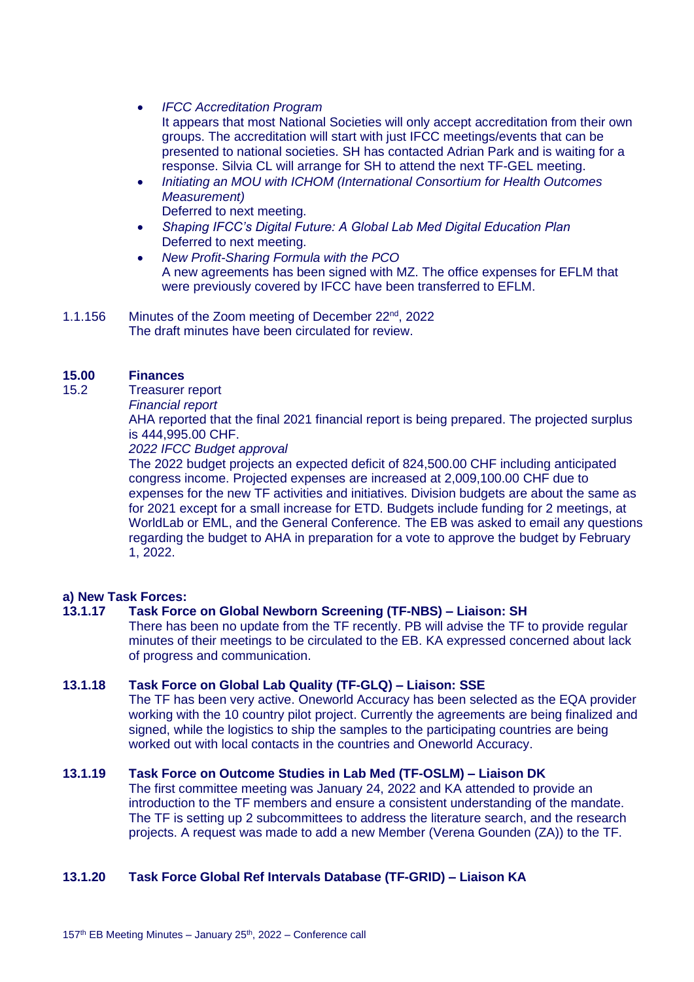- *IFCC Accreditation Program* It appears that most National Societies will only accept accreditation from their own groups. The accreditation will start with just IFCC meetings/events that can be presented to national societies. SH has contacted Adrian Park and is waiting for a response. Silvia CL will arrange for SH to attend the next TF-GEL meeting.
	- *Initiating an MOU with ICHOM (International Consortium for Health Outcomes Measurement)* Deferred to next meeting.
	- *Shaping IFCC's Digital Future: A Global Lab Med Digital Education Plan* Deferred to next meeting.
	- *New Profit-Sharing Formula with the PCO* A new agreements has been signed with MZ. The office expenses for EFLM that were previously covered by IFCC have been transferred to EFLM.
- 1.1.156 Minutes of the Zoom meeting of December 22<sup>nd</sup>, 2022 The draft minutes have been circulated for review.

## **15.00 Finances**

- 15.2 Treasurer report
	- *Financial report*

AHA reported that the final 2021 financial report is being prepared. The projected surplus is 444,995.00 CHF.

*2022 IFCC Budget approval*

The 2022 budget projects an expected deficit of 824,500.00 CHF including anticipated congress income. Projected expenses are increased at 2,009,100.00 CHF due to expenses for the new TF activities and initiatives. Division budgets are about the same as for 2021 except for a small increase for ETD. Budgets include funding for 2 meetings, at WorldLab or EML, and the General Conference. The EB was asked to email any questions regarding the budget to AHA in preparation for a vote to approve the budget by February 1, 2022.

## **a) New Task Forces:**

## **13.1.17 Task Force on Global Newborn Screening (TF-NBS) – Liaison: SH**

There has been no update from the TF recently. PB will advise the TF to provide regular minutes of their meetings to be circulated to the EB. KA expressed concerned about lack of progress and communication.

### **13.1.18 Task Force on Global Lab Quality (TF-GLQ) – Liaison: SSE**

The TF has been very active. Oneworld Accuracy has been selected as the EQA provider working with the 10 country pilot project. Currently the agreements are being finalized and signed, while the logistics to ship the samples to the participating countries are being worked out with local contacts in the countries and Oneworld Accuracy.

#### **13.1.19 Task Force on Outcome Studies in Lab Med (TF-OSLM) – Liaison DK**

The first committee meeting was January 24, 2022 and KA attended to provide an introduction to the TF members and ensure a consistent understanding of the mandate. The TF is setting up 2 subcommittees to address the literature search, and the research projects. A request was made to add a new Member (Verena Gounden (ZA)) to the TF.

## **13.1.20 Task Force Global Ref Intervals Database (TF-GRID) – Liaison KA**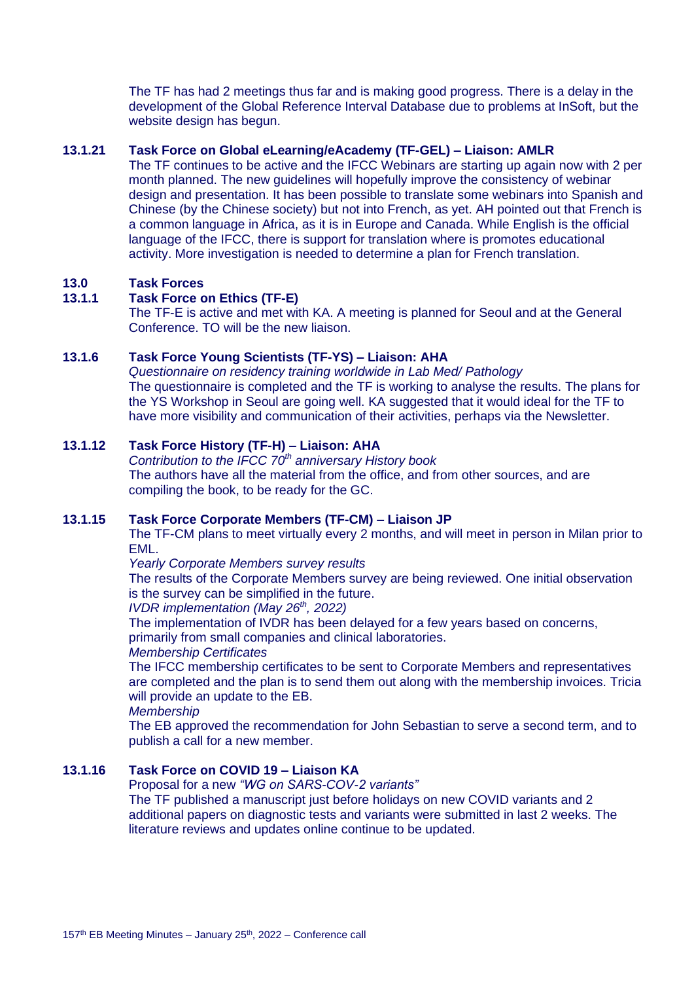The TF has had 2 meetings thus far and is making good progress. There is a delay in the development of the Global Reference Interval Database due to problems at InSoft, but the website design has begun.

### **13.1.21 Task Force on Global eLearning/eAcademy (TF-GEL) – Liaison: AMLR**

The TF continues to be active and the IFCC Webinars are starting up again now with 2 per month planned. The new guidelines will hopefully improve the consistency of webinar design and presentation. It has been possible to translate some webinars into Spanish and Chinese (by the Chinese society) but not into French, as yet. AH pointed out that French is a common language in Africa, as it is in Europe and Canada. While English is the official language of the IFCC, there is support for translation where is promotes educational activity. More investigation is needed to determine a plan for French translation.

#### **13.0 Task Forces**

### **13.1.1 Task Force on Ethics (TF-E)**

The TF-E is active and met with KA. A meeting is planned for Seoul and at the General Conference. TO will be the new liaison.

#### **13.1.6 Task Force Young Scientists (TF-YS) – Liaison: AHA**

*Questionnaire on residency training worldwide in Lab Med/ Pathology* The questionnaire is completed and the TF is working to analyse the results. The plans for the YS Workshop in Seoul are going well. KA suggested that it would ideal for the TF to have more visibility and communication of their activities, perhaps via the Newsletter.

#### **13.1.12 Task Force History (TF-H) – Liaison: AHA**

*Contribution to the IFCC 70th anniversary History book* The authors have all the material from the office, and from other sources, and are compiling the book, to be ready for the GC.

#### **13.1.15 Task Force Corporate Members (TF-CM) – Liaison JP**

The TF-CM plans to meet virtually every 2 months, and will meet in person in Milan prior to EML.

*Yearly Corporate Members survey results*

The results of the Corporate Members survey are being reviewed. One initial observation is the survey can be simplified in the future.

*IVDR implementation (May 26th, 2022)*

The implementation of IVDR has been delayed for a few years based on concerns,

primarily from small companies and clinical laboratories.

*Membership Certificates*

The IFCC membership certificates to be sent to Corporate Members and representatives are completed and the plan is to send them out along with the membership invoices. Tricia will provide an update to the EB.

*Membership*

The EB approved the recommendation for John Sebastian to serve a second term, and to publish a call for a new member.

#### **13.1.16 Task Force on COVID 19 – Liaison KA**

Proposal for a new *"WG on SARS-COV-2 variants"*

The TF published a manuscript just before holidays on new COVID variants and 2 additional papers on diagnostic tests and variants were submitted in last 2 weeks. The literature reviews and updates online continue to be updated.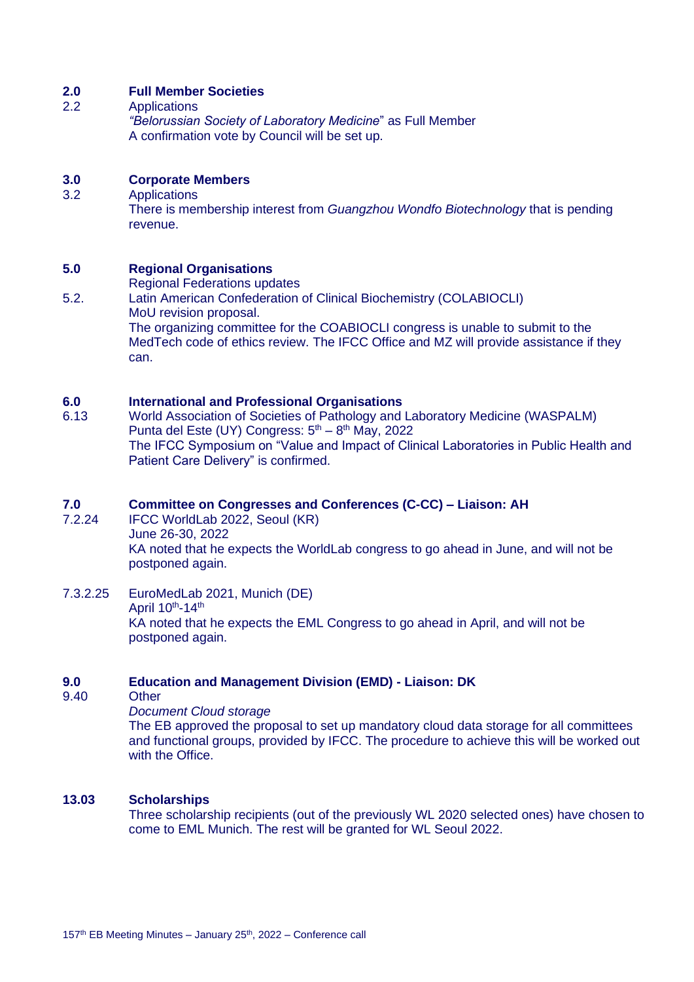#### **2.0 Full Member Societies**

2.2 Applications

*"Belorussian Society of Laboratory Medicine*" as Full Member A confirmation vote by Council will be set up.

#### **3.0 Corporate Members**

3.2 Applications

There is membership interest from *Guangzhou Wondfo Biotechnology* that is pending revenue.

#### **5.0 Regional Organisations**

- Regional Federations updates
- 5.2. Latin American Confederation of Clinical Biochemistry (COLABIOCLI) MoU revision proposal. The organizing committee for the COABIOCLI congress is unable to submit to the

MedTech code of ethics review. The IFCC Office and MZ will provide assistance if they can.

#### **6.0 International and Professional Organisations**

6.13 World Association of Societies of Pathology and Laboratory Medicine (WASPALM) Punta del Este (UY) Congress:  $5<sup>th</sup> - 8<sup>th</sup>$  May, 2022 The IFCC Symposium on "Value and Impact of Clinical Laboratories in Public Health and Patient Care Delivery" is confirmed.

## **7.0 Committee on Congresses and Conferences (C-CC) – Liaison: AH**

- IFCC WorldLab 2022, Seoul (KR) June 26-30, 2022 KA noted that he expects the WorldLab congress to go ahead in June, and will not be postponed again.
- 7.3.2.25 EuroMedLab 2021, Munich (DE) April  $10^{th}$ -14<sup>th</sup> KA noted that he expects the EML Congress to go ahead in April, and will not be postponed again.

#### **9.0 Education and Management Division (EMD) - Liaison: DK**

9.40 Other

*Document Cloud storage*

The EB approved the proposal to set up mandatory cloud data storage for all committees and functional groups, provided by IFCC. The procedure to achieve this will be worked out with the Office.

#### **13.03 Scholarships**

Three scholarship recipients (out of the previously WL 2020 selected ones) have chosen to come to EML Munich. The rest will be granted for WL Seoul 2022.